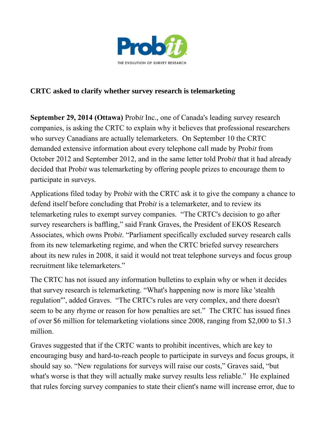

## **CRTC asked to clarify whether survey research is telemarketing**

**September 29, 2014 (Ottawa)** Prob*it* Inc., one of Canada's leading survey research companies, is asking the CRTC to explain why it believes that professional researchers who survey Canadians are actually telemarketers. On September 10 the CRTC demanded extensive information about every telephone call made by Prob*it* from October 2012 and September 2012, and in the same letter told Prob*it* that it had already decided that Prob*it* was telemarketing by offering people prizes to encourage them to participate in surveys.

Applications filed today by Prob*it* with the CRTC ask it to give the company a chance to defend itself before concluding that Prob*it* is a telemarketer, and to review its telemarketing rules to exempt survey companies. "The CRTC's decision to go after survey researchers is baffling," said Frank Graves, the President of EKOS Research Associates, which owns Prob*it*. "Parliament specifically excluded survey research calls from its new telemarketing regime, and when the CRTC briefed survey researchers about its new rules in 2008, it said it would not treat telephone surveys and focus group recruitment like telemarketers."

The CRTC has not issued any information bulletins to explain why or when it decides that survey research is telemarketing. "What's happening now is more like 'stealth regulation'", added Graves. "The CRTC's rules are very complex, and there doesn't seem to be any rhyme or reason for how penalties are set." The CRTC has issued fines of over \$6 million for telemarketing violations since 2008, ranging from \$2,000 to \$1.3 million.

Graves suggested that if the CRTC wants to prohibit incentives, which are key to encouraging busy and hard-to-reach people to participate in surveys and focus groups, it should say so. "New regulations for surveys will raise our costs," Graves said, "but what's worse is that they will actually make survey results less reliable." He explained that rules forcing survey companies to state their client's name will increase error, due to